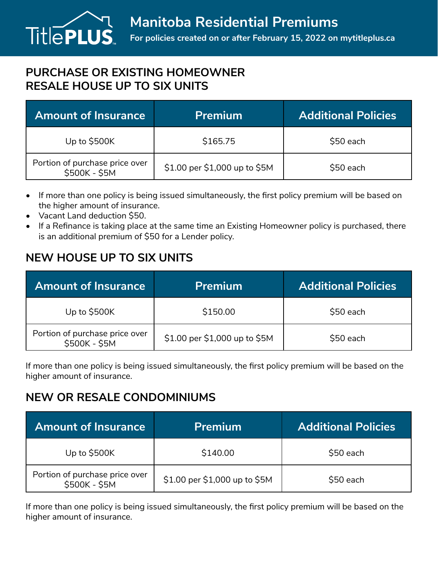## **PURCHASE OR EXISTING HOMEOWNER RESALE HOUSE UP TO SIX UNITS**

| <b>Amount of Insurance</b>                      | <b>Premium</b>                | <b>Additional Policies</b> |
|-------------------------------------------------|-------------------------------|----------------------------|
| Up to $$500K$                                   | \$165.75                      | \$50 each                  |
| Portion of purchase price over<br>\$500K - \$5M | \$1.00 per \$1,000 up to \$5M | \$50 each                  |

- If more than one policy is being issued simultaneously, the first policy premium will be based on the higher amount of insurance.
- Vacant Land deduction \$50.
- If a Refinance is taking place at the same time an Existing Homeowner policy is purchased, there is an additional premium of \$50 for a Lender policy.

## **NEW HOUSE UP TO SIX UNITS**

| <b>Amount of Insurance</b>                      | <b>Premium</b>                | <b>Additional Policies</b> |
|-------------------------------------------------|-------------------------------|----------------------------|
| Up to \$500K                                    | \$150.00                      | \$50 each                  |
| Portion of purchase price over<br>\$500K - \$5M | \$1.00 per \$1,000 up to \$5M | \$50 each                  |

If more than one policy is being issued simultaneously, the first policy premium will be based on the higher amount of insurance.

## **NEW OR RESALE CONDOMINIUMS**

| <b>Amount of Insurance</b>                      | <b>Premium</b>                | <b>Additional Policies</b> |
|-------------------------------------------------|-------------------------------|----------------------------|
| Up to $$500K$                                   | \$140.00                      | \$50 each                  |
| Portion of purchase price over<br>\$500K - \$5M | \$1.00 per \$1,000 up to \$5M | \$50 each                  |

If more than one policy is being issued simultaneously, the first policy premium will be based on the higher amount of insurance.